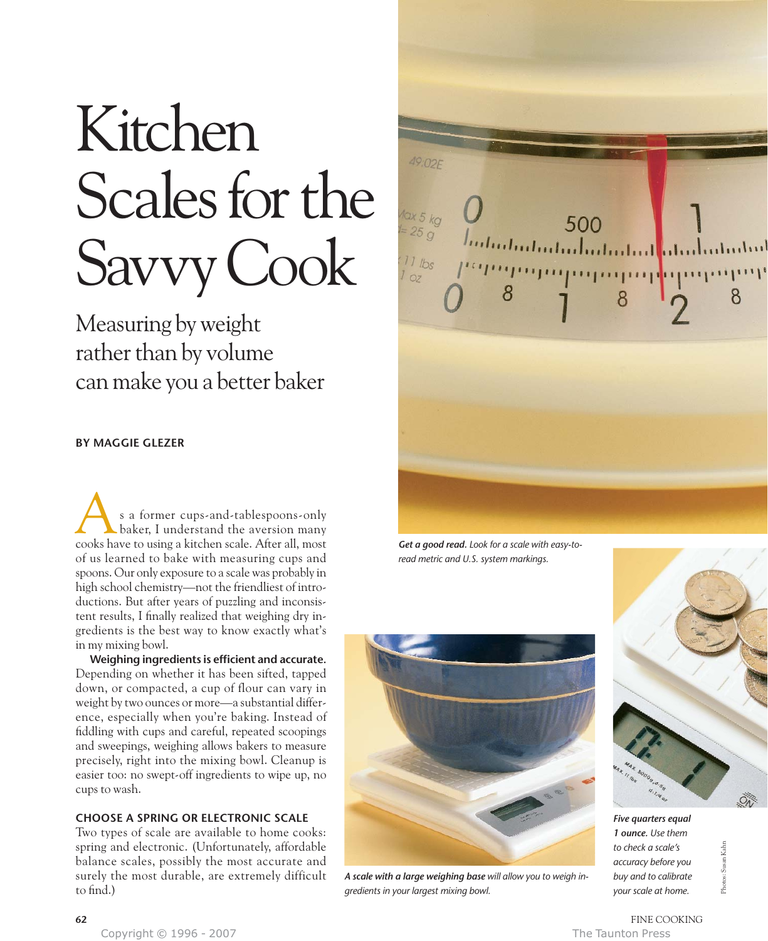# Kitchen Scales for the Savvy Cook

Measuring by weight rather than by volume can make you a better baker

## **BY MAGGIE GLEZER**

s a former cups-and-tablespoons-only baker, I understand the aversion many s a former cups-and-tablespoons-only<br>baker, I understand the aversion many<br>cooks have to using a kitchen scale. After all, most of us learned to bake with measuring cups and spoons. Our only exposure to a scale was probably in high school chemistry—not the friendliest of introductions. But after years of puzzling and inconsistent results, I finally realized that weighing dry ingredients is the best way to know exactly what's in my mixing bowl.

**Weighing ingredients is efficient and accurate.** Depending on whether it has been sifted, tapped down, or compacted, a cup of flour can vary in weight by two ounces or more—a substantial difference, especially when you're baking. Instead of fiddling with cups and careful, repeated scoopings and sweepings, weighing allows bakers to measure precisely, right into the mixing bowl. Cleanup is easier too: no swept-off ingredients to wipe up, no cups to wash.

### **CHOOSE A SPRING OR ELECTRONIC SCALE**

Two types of scale are available to home cooks: spring and electronic. (Unfortunately, affordable balance scales, possibly the most accurate and surely the most durable, are extremely difficult to find.)



*Get a good read. Look for a scale with easy-toread metric and U.S. system markings.*



*A scale with a large weighing base will allow you to weigh ingredients in your largest mixing bowl.*



*Five quarters equal 1 ounce. Use them to check a scale's accuracy before you buy and to calibrate your scale at home.*